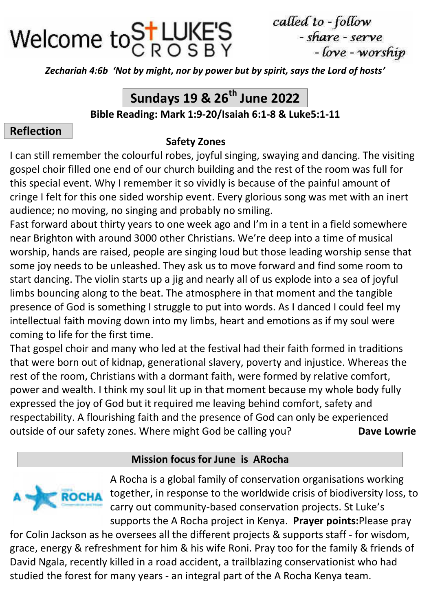

called to - follow - share - serve - love - worship

*Zechariah 4:6b 'Not by might, nor by power but by spirit, says the Lord of hosts'*

# **Sundays 19 & 26th June 2022**

**Bible Reading: Mark 1:9-20/Isaiah 6:1-8 & Luke5:1-11**

## **Reflection**

#### **Safety Zones**

I can still remember the colourful robes, joyful singing, swaying and dancing. The visiting gospel choir filled one end of our church building and the rest of the room was full for this special event. Why I remember it so vividly is because of the painful amount of cringe I felt for this one sided worship event. Every glorious song was met with an inert audience; no moving, no singing and probably no smiling.

Fast forward about thirty years to one week ago and I'm in a tent in a field somewhere near Brighton with around 3000 other Christians. We're deep into a time of musical worship, hands are raised, people are singing loud but those leading worship sense that some joy needs to be unleashed. They ask us to move forward and find some room to start dancing. The violin starts up a jig and nearly all of us explode into a sea of joyful limbs bouncing along to the beat. The atmosphere in that moment and the tangible presence of God is something I struggle to put into words. As I danced I could feel my intellectual faith moving down into my limbs, heart and emotions as if my soul were coming to life for the first time.

That gospel choir and many who led at the festival had their faith formed in traditions that were born out of kidnap, generational slavery, poverty and injustice. Whereas the rest of the room, Christians with a dormant faith, were formed by relative comfort, power and wealth. I think my soul lit up in that moment because my whole body fully expressed the joy of God but it required me leaving behind comfort, safety and respectability. A flourishing faith and the presence of God can only be experienced outside of our safety zones. Where might God be calling you? **Dave Lowrie** 

## **Mission focus for June is ARocha**



A Rocha is a global family of conservation organisations working together, in response to the worldwide crisis of biodiversity loss, to carry out community-based conservation projects. St Luke's supports the A Rocha project in Kenya. **Prayer points:**Please pray

for Colin Jackson as he oversees all the different projects & supports staff - for wisdom, grace, energy & refreshment for him & his wife Roni. Pray too for the family & friends of David Ngala, recently killed in a road accident, a trailblazing conservationist who had studied the forest for many years - an integral part of the A Rocha Kenya team.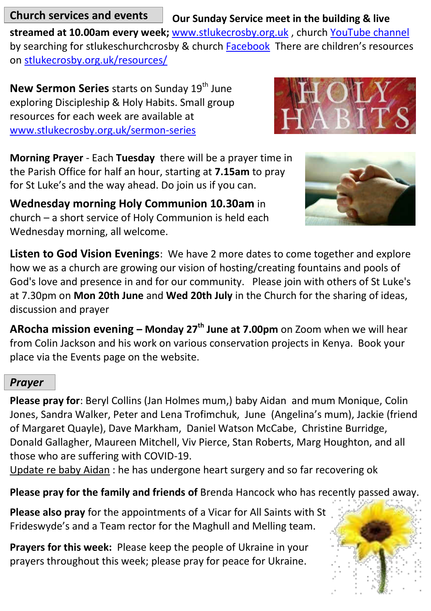**Church services and events** 

**Our Sunday Service meet in the building & live** 

**streamed at 10.00am every week;** [www.stlukecrosby.org.uk](https://www.stlukecrosby.org.uk/) , churc[h YouTube channel](https://www.youtube.com/channel/UCAMs3Rkty8bJIGkYSAzsX7A) by searching for stlukeschurchcrosby & church **Facebook** There are children's resources o[n stlukecrosby.org.uk/resources/](http://www.stlukecrosby.org.uk/resources/) 

**New Sermon Series** starts on Sunday 19<sup>th</sup> June exploring Discipleship & Holy Habits. Small group resources for each week are available at [www.stlukecrosby.org.uk/sermon-series](http://www.stlukecrosby.org.uk/sermon-series) 

**Morning Prayer** - Each **Tuesday** there will be a prayer time in the Parish Office for half an hour, starting at **7.15am** to pray for St Luke's and the way ahead. Do join us if you can.

**Wednesday morning Holy Communion 10.30am** in church – a short service of Holy Communion is held each Wednesday morning, all welcome.



**Listen to God Vision Evenings**: We have 2 more dates to come together and explore how we as a church are growing our vision of hosting/creating fountains and pools of God's love and presence in and for our community. Please join with others of St Luke's at 7.30pm on **Mon 20th June** and **Wed 20th July** in the Church for the sharing of ideas, discussion and prayer

**ARocha mission evening – Monday 27th June at 7.00pm** on Zoom when we will hear from Colin Jackson and his work on various conservation projects in Kenya. Book your place via the Events page on the website.

## *Prayer*

**Please pray for**: Beryl Collins (Jan Holmes mum,) baby Aidan and mum Monique, Colin Jones, Sandra Walker, Peter and Lena Trofimchuk, June (Angelina's mum), Jackie (friend of Margaret Quayle), Dave Markham, Daniel Watson McCabe, Christine Burridge, Donald Gallagher, Maureen Mitchell, Viv Pierce, Stan Roberts, Marg Houghton, and all those who are suffering with COVID-19.

Update re baby Aidan : he has undergone heart surgery and so far recovering ok

**Please pray for the family and friends of** Brenda Hancock who has recently passed away.

**Please also pray** for the appointments of a Vicar for All Saints with St Frideswyde's and a Team rector for the Maghull and Melling team.

**Prayers for this week:** Please keep the people of Ukraine in your prayers throughout this week; please pray for peace for Ukraine.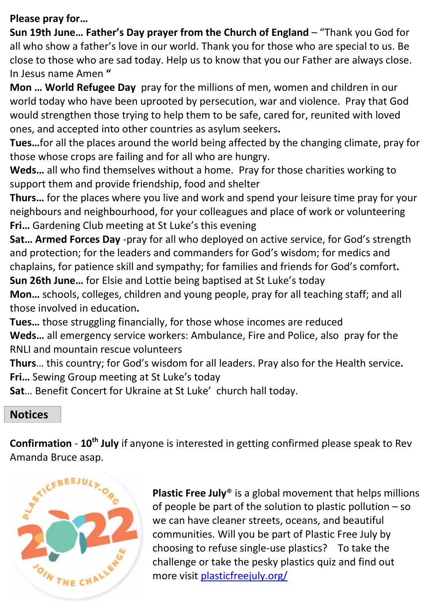#### **Please pray for…**

**Sun 19th June… Father's Day prayer from the Church of England** – "Thank you God for all who show a father's love in our world. Thank you for those who are special to us. Be close to those who are sad today. Help us to know that you our Father are always close. In Jesus name Amen **"**

**Mon … World Refugee Day** pray for the millions of men, women and children in our world today who have been uprooted by persecution, war and violence. Pray that God would strengthen those trying to help them to be safe, cared for, reunited with loved ones, and accepted into other countries as asylum seekers**.** 

**Tues…**for all the places around the world being affected by the changing climate, pray for those whose crops are failing and for all who are hungry.

**Weds…** all who find themselves without a home. Pray for those charities working to support them and provide friendship, food and shelter

**Thurs…** for the places where you live and work and spend your leisure time pray for your neighbours and neighbourhood, for your colleagues and place of work or volunteering **Fri…** Gardening Club meeting at St Luke's this evening

**Sat… Armed Forces Day** -pray for all who deployed on active service, for God's strength and protection; for the leaders and commanders for God's wisdom; for medics and chaplains, for patience skill and sympathy; for families and friends for God's comfort**. Sun 26th June…** for Elsie and Lottie being baptised at St Luke's today

**Mon…** schools, colleges, children and young people, pray for all teaching staff; and all those involved in education**.** 

**Tues…** those struggling financially, for those whose incomes are reduced **Weds…** all emergency service workers: Ambulance, Fire and Police, also pray for the RNLI and mountain rescue volunteers

**Thurs**… this country; for God's wisdom for all leaders. Pray also for the Health service**. Fri…** Sewing Group meeting at St Luke's today

**Sat**… Benefit Concert for Ukraine at St Luke' church hall today.

## **Notices**

**Confirmation** - **10th July** if anyone is interested in getting confirmed please speak to Rev Amanda Bruce asap.



**Plastic Free July**® is a global movement that helps millions of people be part of the solution to plastic pollution – so we can have cleaner streets, oceans, and beautiful communities. Will you be part of Plastic Free July by choosing to refuse single-use plastics? To take the challenge or take the pesky plastics quiz and find out more visi[t plasticfreejuly.org/](https://www.plasticfreejuly.org/)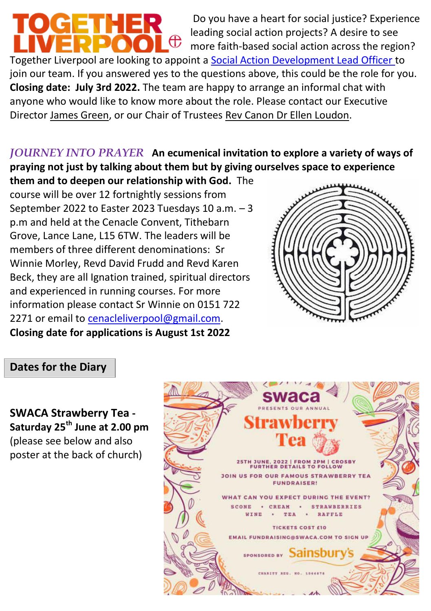**TOGETHER**  Do you have a heart for social justice? Experience leading social action projects? A desire to see ∎ ∉ more faith-based social action across the region? Together Liverpool are looking to appoint [a Social Action Development Lead Officer t](https://togetherliverpool.org.uk/whats-new/were-hiring-social-action-lead-development-officer)o join our team. If you answered yes to the questions above, this could be the role for you. **Closing date: July 3rd 2022.** The team are happy to arrange an informal chat with anyone who would like to know more about the role. Please contact our Executive Directo[r James Green,](mailto:james.green@togetherliverpool.org.uk?subject=Social%20Action%20Development%20Lead%20Officer) or our Chair of Trustees [Rev Canon Dr Ellen Loudon.](mailto:ellen.loudon@liverpool.anglican.org?subject=Social%20Action%20Development%20Lead%20Officer)

## *JOURNEY INTO PRAYER* **An ecumenical invitation to explore a variety of ways of praying not just by talking about them but by giving ourselves space to experience**

**them and to deepen our relationship with God.** The course will be over 12 fortnightly sessions from September 2022 to Easter 2023 Tuesdays 10 a.m. – 3 p.m and held at the Cenacle Convent, Tithebarn Grove, Lance Lane, L15 6TW. The leaders will be members of three different denominations: Sr Winnie Morley, Revd David Frudd and Revd Karen Beck, they are all Ignation trained, spiritual directors and experienced in running courses. For more information please contact Sr Winnie on 0151 722 2271 or email to cenacleliverpool@gmail.com. **Closing date for applications is August 1st 2022** 



## **Dates for the Diary**

**SWACA Strawberry Tea - Saturday 25th June at 2.00 pm**  (please see below and also poster at the back of church)

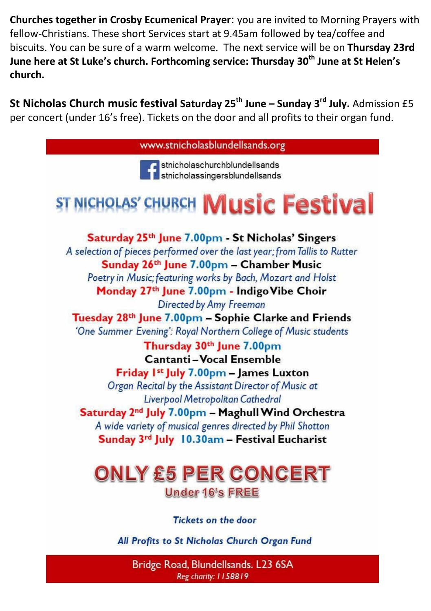**Churches together in Crosby Ecumenical Prayer**: you are invited to Morning Prayers with fellow-Christians. These short Services start at 9.45am followed by tea/coffee and biscuits. You can be sure of a warm welcome. The next service will be on **Thursday 23rd June here at St Luke's church. Forthcoming service: Thursday 30th June at St Helen's church.** 

**St Nicholas Church music festival Saturday 25th June – Sunday 3rd July.** Admission £5 per concert (under 16's free). Tickets on the door and all profits to their organ fund.



Bridge Road, Blundellsands. L23 6SA Reg charity: 1158819